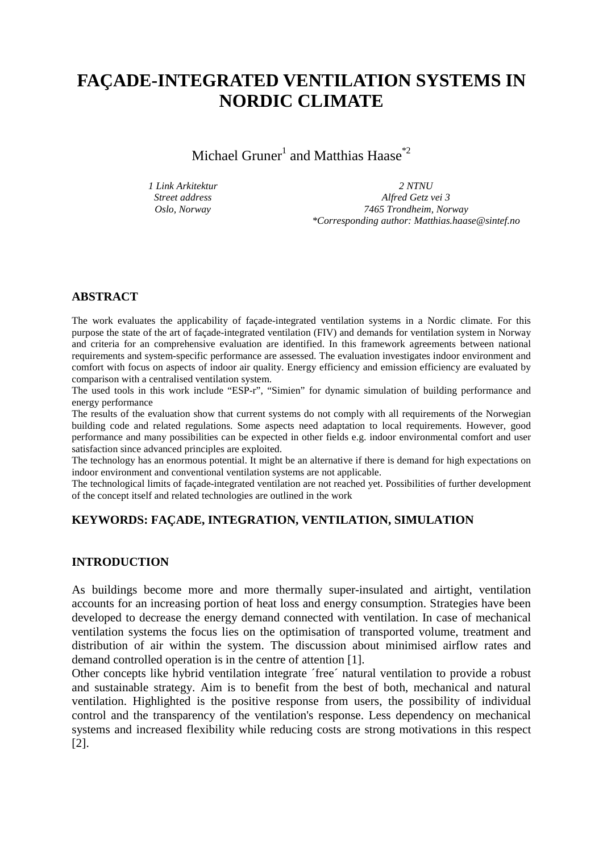# **FAÇADE-INTEGRATED VENTILATION SYSTEMS IN NORDIC CLIMATE**

Michael Gruner<sup>1</sup> and Matthias Haase<sup>\*2</sup>

*1 Link Arkitektur Street address Oslo, Norway*

*2 NTNU*

*Alfred Getz vei 3 7465 Trondheim, Norway \*Corresponding author: Matthias.haase@sintef.no*

# **ABSTRACT**

The work evaluates the applicability of façade-integrated ventilation systems in a Nordic climate. For this purpose the state of the art of façade-integrated ventilation (FIV) and demands for ventilation system in Norway and criteria for an comprehensive evaluation are identified. In this framework agreements between national requirements and system-specific performance are assessed. The evaluation investigates indoor environment and comfort with focus on aspects of indoor air quality. Energy efficiency and emission efficiency are evaluated by comparison with a centralised ventilation system.

The used tools in this work include "ESP-r", "Simien" for dynamic simulation of building performance and energy performance

The results of the evaluation show that current systems do not comply with all requirements of the Norwegian building code and related regulations. Some aspects need adaptation to local requirements. However, good performance and many possibilities can be expected in other fields e.g. indoor environmental comfort and user satisfaction since advanced principles are exploited.

The technology has an enormous potential. It might be an alternative if there is demand for high expectations on indoor environment and conventional ventilation systems are not applicable.

The technological limits of façade-integrated ventilation are not reached yet. Possibilities of further development of the concept itself and related technologies are outlined in the work

# **KEYWORDS: FAÇADE, INTEGRATION, VENTILATION, SIMULATION**

## **INTRODUCTION**

As buildings become more and more thermally super-insulated and airtight, ventilation accounts for an increasing portion of heat loss and energy consumption. Strategies have been developed to decrease the energy demand connected with ventilation. In case of mechanical ventilation systems the focus lies on the optimisation of transported volume, treatment and distribution of air within the system. The discussion about minimised airflow rates and demand controlled operation is in the centre of attention [1].

Other concepts like hybrid ventilation integrate ´free´ natural ventilation to provide a robust and sustainable strategy. Aim is to benefit from the best of both, mechanical and natural ventilation. Highlighted is the positive response from users, the possibility of individual control and the transparency of the ventilation's response. Less dependency on mechanical systems and increased flexibility while reducing costs are strong motivations in this respect [2].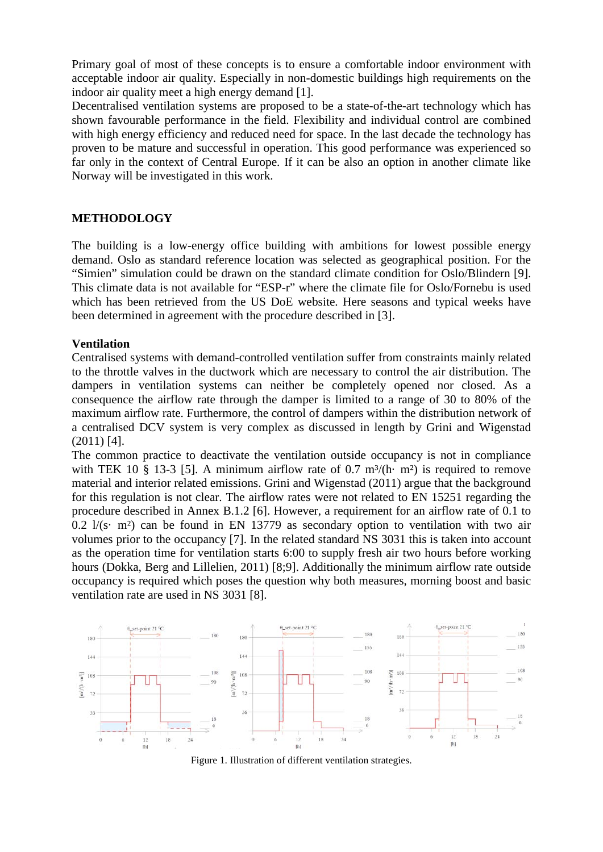Primary goal of most of these concepts is to ensure a comfortable indoor environment with acceptable indoor air quality. Especially in non-domestic buildings high requirements on the indoor air quality meet a high energy demand [1].

Decentralised ventilation systems are proposed to be a state-of-the-art technology which has shown favourable performance in the field. Flexibility and individual control are combined with high energy efficiency and reduced need for space. In the last decade the technology has proven to be mature and successful in operation. This good performance was experienced so far only in the context of Central Europe. If it can be also an option in another climate like Norway will be investigated in this work.

## **METHODOLOGY**

The building is a low-energy office building with ambitions for lowest possible energy demand. Oslo as standard reference location was selected as geographical position. For the "Simien" simulation could be drawn on the standard climate condition for Oslo/Blindern [9]. This climate data is not available for "ESP-r" where the climate file for Oslo/Fornebu is used which has been retrieved from the US DoE website. Here seasons and typical weeks have been determined in agreement with the procedure described in [3].

#### **Ventilation**

Centralised systems with demand-controlled ventilation suffer from constraints mainly related to the throttle valves in the ductwork which are necessary to control the air distribution. The dampers in ventilation systems can neither be completely opened nor closed. As a consequence the airflow rate through the damper is limited to a range of 30 to 80% of the maximum airflow rate. Furthermore, the control of dampers within the distribution network of a centralised DCV system is very complex as discussed in length by Grini and Wigenstad (2011) [4].

The common practice to deactivate the ventilation outside occupancy is not in compliance with TEK 10 § 13-3 [5]. A minimum airflow rate of 0.7 m<sup>3</sup>/(h· m<sup>2</sup>) is required to remove material and interior related emissions. Grini and Wigenstad (2011) argue that the background for this regulation is not clear. The airflow rates were not related to EN 15251 regarding the procedure described in Annex B.1.2 [6]. However, a requirement for an airflow rate of 0.1 to 0.2 l/(s· m²) can be found in EN 13779 as secondary option to ventilation with two air volumes prior to the occupancy [7]. In the related standard NS 3031 this is taken into account as the operation time for ventilation starts 6:00 to supply fresh air two hours before working hours (Dokka, Berg and Lillelien, 2011) [8;9]. Additionally the minimum airflow rate outside occupancy is required which poses the question why both measures, morning boost and basic ventilation rate are used in NS 3031 [8].



Figure 1. Illustration of different ventilation strategies.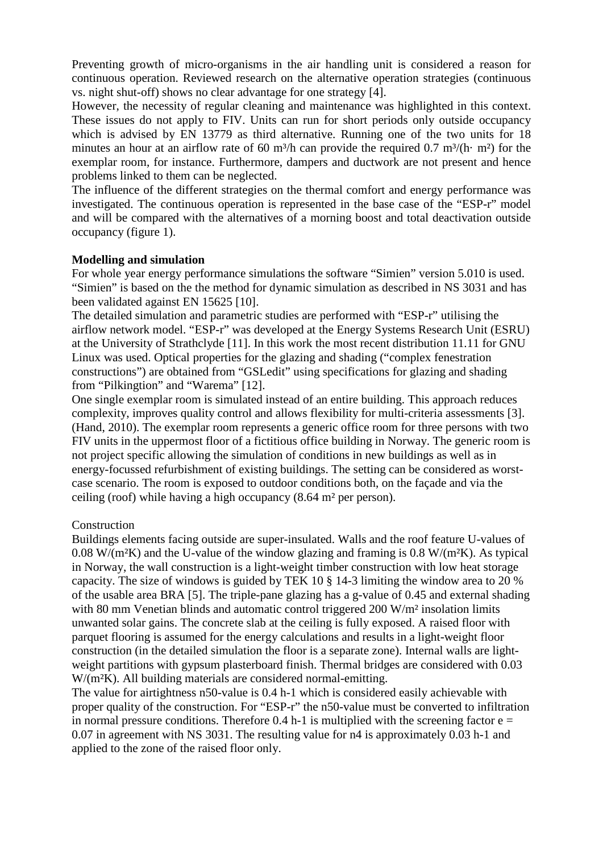Preventing growth of micro-organisms in the air handling unit is considered a reason for continuous operation. Reviewed research on the alternative operation strategies (continuous vs. night shut-off) shows no clear advantage for one strategy [4].

However, the necessity of regular cleaning and maintenance was highlighted in this context. These issues do not apply to FIV. Units can run for short periods only outside occupancy which is advised by EN 13779 as third alternative. Running one of the two units for 18 minutes an hour at an airflow rate of 60 m<sup>3</sup>/h can provide the required 0.7 m<sup>3</sup>/(h· m<sup>2</sup>) for the exemplar room, for instance. Furthermore, dampers and ductwork are not present and hence problems linked to them can be neglected.

The influence of the different strategies on the thermal comfort and energy performance was investigated. The continuous operation is represented in the base case of the "ESP-r" model and will be compared with the alternatives of a morning boost and total deactivation outside occupancy (figure 1).

## **Modelling and simulation**

For whole year energy performance simulations the software "Simien" version 5.010 is used. "Simien" is based on the the method for dynamic simulation as described in NS 3031 and has been validated against EN 15625 [10].

The detailed simulation and parametric studies are performed with "ESP-r" utilising the airflow network model. "ESP-r" was developed at the Energy Systems Research Unit (ESRU) at the University of Strathclyde [11]. In this work the most recent distribution 11.11 for GNU Linux was used. Optical properties for the glazing and shading ("complex fenestration constructions") are obtained from "GSLedit" using specifications for glazing and shading from "Pilkingtion" and "Warema" [12].

One single exemplar room is simulated instead of an entire building. This approach reduces complexity, improves quality control and allows flexibility for multi-criteria assessments [3]. (Hand, 2010). The exemplar room represents a generic office room for three persons with two FIV units in the uppermost floor of a fictitious office building in Norway. The generic room is not project specific allowing the simulation of conditions in new buildings as well as in energy-focussed refurbishment of existing buildings. The setting can be considered as worstcase scenario. The room is exposed to outdoor conditions both, on the façade and via the ceiling (roof) while having a high occupancy (8.64 m² per person).

# Construction

Buildings elements facing outside are super-insulated. Walls and the roof feature U-values of  $0.08$  W/(m<sup>2</sup>K) and the U-value of the window glazing and framing is 0.8 W/(m<sup>2</sup>K). As typical in Norway, the wall construction is a light-weight timber construction with low heat storage capacity. The size of windows is guided by TEK 10 § 14-3 limiting the window area to 20 % of the usable area BRA [5]. The triple-pane glazing has a g-value of 0.45 and external shading with 80 mm Venetian blinds and automatic control triggered 200 W/m<sup>2</sup> insolation limits unwanted solar gains. The concrete slab at the ceiling is fully exposed. A raised floor with parquet flooring is assumed for the energy calculations and results in a light-weight floor construction (in the detailed simulation the floor is a separate zone). Internal walls are lightweight partitions with gypsum plasterboard finish. Thermal bridges are considered with 0.03 W/(m²K). All building materials are considered normal-emitting.

The value for airtightness n50-value is 0.4 h-1 which is considered easily achievable with proper quality of the construction. For "ESP-r" the n50-value must be converted to infiltration in normal pressure conditions. Therefore 0.4 h-1 is multiplied with the screening factor  $e =$ 0.07 in agreement with NS 3031. The resulting value for n4 is approximately 0.03 h-1 and applied to the zone of the raised floor only.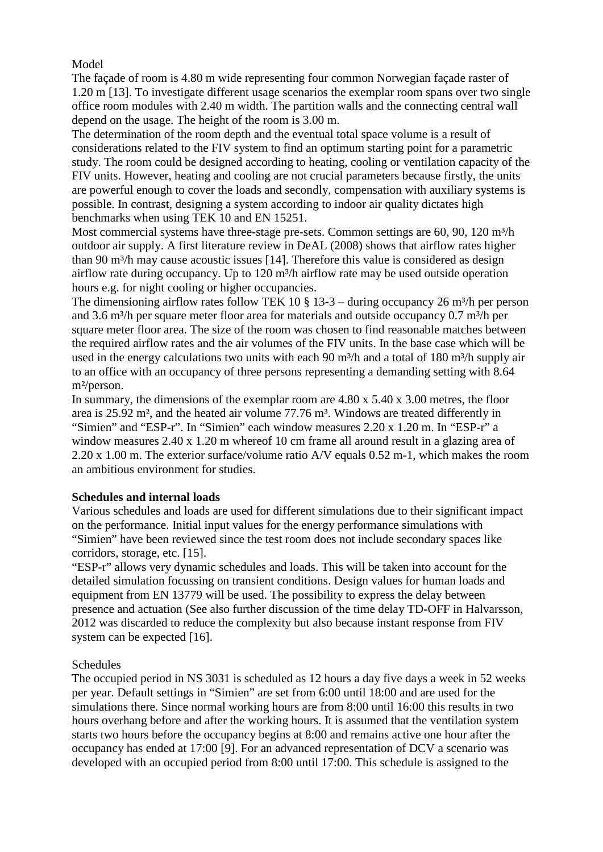Model

The façade of room is 4.80 m wide representing four common Norwegian façade raster of 1.20 m [13]. To investigate different usage scenarios the exemplar room spans over two single office room modules with 2.40 m width. The partition walls and the connecting central wall depend on the usage. The height of the room is 3.00 m.

The determination of the room depth and the eventual total space volume is a result of considerations related to the FIV system to find an optimum starting point for a parametric study. The room could be designed according to heating, cooling or ventilation capacity of the FIV units. However, heating and cooling are not crucial parameters because firstly, the units are powerful enough to cover the loads and secondly, compensation with auxiliary systems is possible. In contrast, designing a system according to indoor air quality dictates high benchmarks when using TEK 10 and EN 15251.

Most commercial systems have three-stage pre-sets. Common settings are  $60$ ,  $90$ ,  $120 \text{ m}^3/\text{h}$ outdoor air supply. A first literature review in DeAL (2008) shows that airflow rates higher than 90 m<sup>3</sup>/h may cause acoustic issues [14]. Therefore this value is considered as design airflow rate during occupancy. Up to 120 m<sup>3</sup>/h airflow rate may be used outside operation hours e.g. for night cooling or higher occupancies.

The dimensioning airflow rates follow TEK 10  $\S$  13-3 – during occupancy 26 m<sup>3</sup>/h per person and 3.6 m<sup>3</sup>/h per square meter floor area for materials and outside occupancy  $0.7$  m<sup>3</sup>/h per square meter floor area. The size of the room was chosen to find reasonable matches between the required airflow rates and the air volumes of the FIV units. In the base case which will be used in the energy calculations two units with each 90 m<sup>3</sup>/h and a total of 180 m<sup>3</sup>/h supply air to an office with an occupancy of three persons representing a demanding setting with 8.64 m²/person.

In summary, the dimensions of the exemplar room are 4.80 x 5.40 x 3.00 metres, the floor area is 25.92 m<sup>2</sup>, and the heated air volume 77.76 m<sup>3</sup>. Windows are treated differently in "Simien" and "ESP-r". In "Simien" each window measures 2.20 x 1.20 m. In "ESP-r" a window measures 2.40 x 1.20 m whereof 10 cm frame all around result in a glazing area of 2.20 x 1.00 m. The exterior surface/volume ratio A/V equals 0.52 m-1, which makes the room an ambitious environment for studies.

# **Schedules and internal loads**

Various schedules and loads are used for different simulations due to their significant impact on the performance. Initial input values for the energy performance simulations with "Simien" have been reviewed since the test room does not include secondary spaces like corridors, storage, etc. [15].

"ESP-r" allows very dynamic schedules and loads. This will be taken into account for the detailed simulation focussing on transient conditions. Design values for human loads and equipment from EN 13779 will be used. The possibility to express the delay between presence and actuation (See also further discussion of the time delay TD-OFF in Halvarsson, 2012 was discarded to reduce the complexity but also because instant response from FIV system can be expected [16].

# **Schedules**

The occupied period in NS 3031 is scheduled as 12 hours a day five days a week in 52 weeks per year. Default settings in "Simien" are set from 6:00 until 18:00 and are used for the simulations there. Since normal working hours are from 8:00 until 16:00 this results in two hours overhang before and after the working hours. It is assumed that the ventilation system starts two hours before the occupancy begins at 8:00 and remains active one hour after the occupancy has ended at 17:00 [9]. For an advanced representation of DCV a scenario was developed with an occupied period from 8:00 until 17:00. This schedule is assigned to the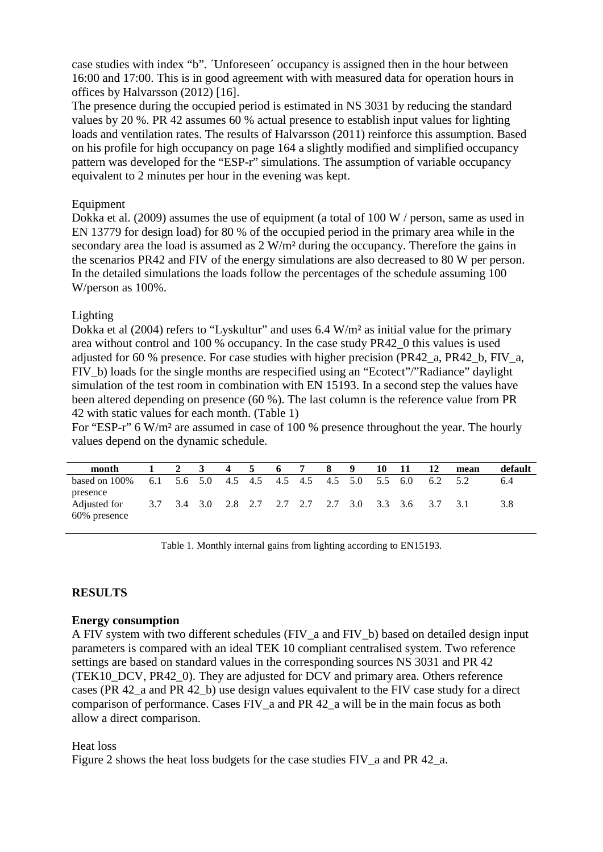case studies with index "b". Unforeseen' occupancy is assigned then in the hour between 16:00 and 17:00. This is in good agreement with with measured data for operation hours in offices by Halvarsson (2012) [16].

The presence during the occupied period is estimated in NS 3031 by reducing the standard values by 20 %. PR 42 assumes 60 % actual presence to establish input values for lighting loads and ventilation rates. The results of Halvarsson (2011) reinforce this assumption. Based on his profile for high occupancy on page 164 a slightly modified and simplified occupancy pattern was developed for the "ESP-r" simulations. The assumption of variable occupancy equivalent to 2 minutes per hour in the evening was kept.

## Equipment

Dokka et al. (2009) assumes the use of equipment (a total of 100 W / person, same as used in EN 13779 for design load) for 80 % of the occupied period in the primary area while in the secondary area the load is assumed as  $2 W/m^2$  during the occupancy. Therefore the gains in the scenarios PR42 and FIV of the energy simulations are also decreased to 80 W per person. In the detailed simulations the loads follow the percentages of the schedule assuming 100 W/person as 100%.

## Lighting

Dokka et al (2004) refers to "Lyskultur" and uses 6.4 W/m<sup>2</sup> as initial value for the primary area without control and 100 % occupancy. In the case study PR42\_0 this values is used adjusted for 60 % presence. For case studies with higher precision (PR42\_a, PR42\_b, FIV\_a, FIV b) loads for the single months are respecified using an "Ecotect"/"Radiance" daylight simulation of the test room in combination with EN 15193. In a second step the values have been altered depending on presence (60 %). The last column is the reference value from PR 42 with static values for each month. (Table 1)

For "ESP-r" 6 W/m² are assumed in case of 100 % presence throughout the year. The hourly values depend on the dynamic schedule.

| month                                    |     |         | 3       | $\boldsymbol{4}$ | 5   | -6      | 7 | -8      | -9 | 10  | -11                                 | 12  | mean | default |
|------------------------------------------|-----|---------|---------|------------------|-----|---------|---|---------|----|-----|-------------------------------------|-----|------|---------|
| based on 100%                            | 6.1 | 5.6 5.0 |         | 4.5              | 4.5 | 4.5 4.5 |   | 4.5 5.0 |    | 5.5 | -6.0                                | 6.2 |      | 6.4     |
| presence<br>Adjusted for<br>60% presence | 3.7 |         | 3.4 3.0 |                  |     |         |   |         |    |     | 2.8 2.7 2.7 2.7 2.7 3.0 3.3 3.6 3.7 |     | 3.1  | 3.8     |

Table 1. Monthly internal gains from lighting according to EN15193.

# **RESULTS**

## **Energy consumption**

A FIV system with two different schedules (FIV\_a and FIV\_b) based on detailed design input parameters is compared with an ideal TEK 10 compliant centralised system. Two reference settings are based on standard values in the corresponding sources NS 3031 and PR 42 (TEK10\_DCV, PR42\_0). They are adjusted for DCV and primary area. Others reference cases (PR 42\_a and PR 42\_b) use design values equivalent to the FIV case study for a direct comparison of performance. Cases FIV  $\alpha$  and PR 42  $\alpha$  will be in the main focus as both allow a direct comparison.

## Heat loss

Figure 2 shows the heat loss budgets for the case studies FIV a and PR 42 a.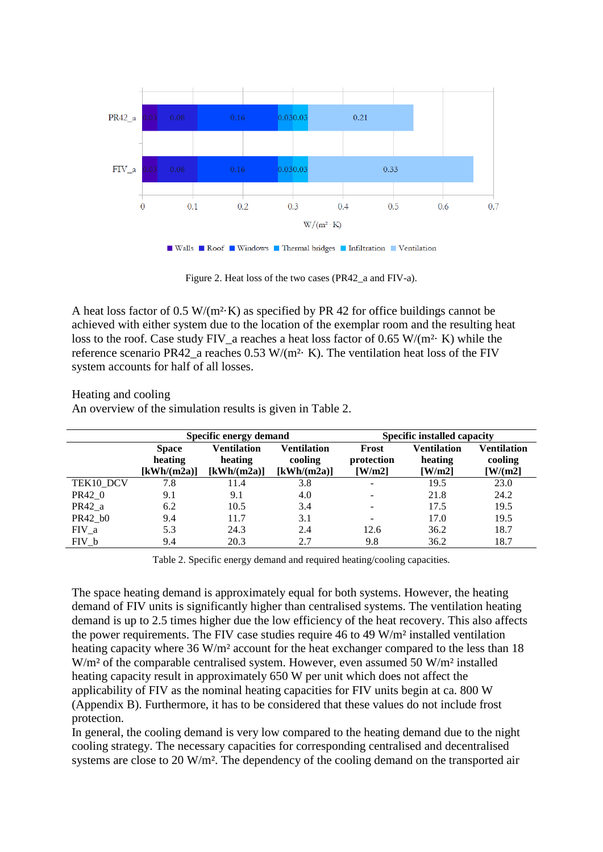

■ Walls ■ Roof ■ Windows ■ Thermal bridges ■ Infiltration ■ Ventilation

Figure 2. Heat loss of the two cases (PR42\_a and FIV-a).

A heat loss factor of 0.5 W/( $m<sup>2</sup>$ ·K) as specified by PR 42 for office buildings cannot be achieved with either system due to the location of the exemplar room and the resulting heat loss to the roof. Case study FIV a reaches a heat loss factor of 0.65 W/(m<sup>2</sup>· K) while the reference scenario PR42 a reaches  $0.53$  W/(m<sup>2</sup>· K). The ventilation heat loss of the FIV system accounts for half of all losses.

Heating and cooling

An overview of the simulation results is given in Table 2.

|           |                                        | Specific energy demand                       |                                       | <b>Specific installed capacity</b> |                                  |                                   |  |  |
|-----------|----------------------------------------|----------------------------------------------|---------------------------------------|------------------------------------|----------------------------------|-----------------------------------|--|--|
|           | <b>Space</b><br>heating<br>[kWh/(m2a)] | <b>Ventilation</b><br>heating<br>[kWh/(m2a)] | Ventilation<br>cooling<br>[kWh/(m2a)] | Frost<br>protection<br>[W/m2]      | Ventilation<br>heating<br>[W/m2] | Ventilation<br>cooling<br>[W/(m2] |  |  |
| TEK10 DCV | 7.8                                    | 11.4                                         | 3.8                                   | $\overline{\phantom{a}}$           | 19.5                             | 23.0                              |  |  |
| PR42_0    | 9.1                                    | 9.1                                          | 4.0                                   | $\overline{\phantom{a}}$           | 21.8                             | 24.2                              |  |  |
| PR42 a    | 6.2                                    | 10.5                                         | 3.4                                   | $\overline{\phantom{a}}$           | 17.5                             | 19.5                              |  |  |
| PR42 b0   | 9.4                                    | 11.7                                         | 3.1                                   | $\overline{\phantom{a}}$           | 17.0                             | 19.5                              |  |  |
| $FIV_a$   | 5.3                                    | 24.3                                         | 2.4                                   | 12.6                               | 36.2                             | 18.7                              |  |  |
| $FIV_b$   | 9.4                                    | 20.3                                         | 2.7                                   | 9.8                                | 36.2                             | 18.7                              |  |  |

Table 2. Specific energy demand and required heating/cooling capacities.

The space heating demand is approximately equal for both systems. However, the heating demand of FIV units is significantly higher than centralised systems. The ventilation heating demand is up to 2.5 times higher due the low efficiency of the heat recovery. This also affects the power requirements. The FIV case studies require 46 to 49 W/m² installed ventilation heating capacity where 36 W/m<sup>2</sup> account for the heat exchanger compared to the less than 18 W/m<sup>2</sup> of the comparable centralised system. However, even assumed 50 W/m<sup>2</sup> installed heating capacity result in approximately 650 W per unit which does not affect the applicability of FIV as the nominal heating capacities for FIV units begin at ca. 800 W (Appendix B). Furthermore, it has to be considered that these values do not include frost protection.

In general, the cooling demand is very low compared to the heating demand due to the night cooling strategy. The necessary capacities for corresponding centralised and decentralised systems are close to 20 W/m<sup>2</sup>. The dependency of the cooling demand on the transported air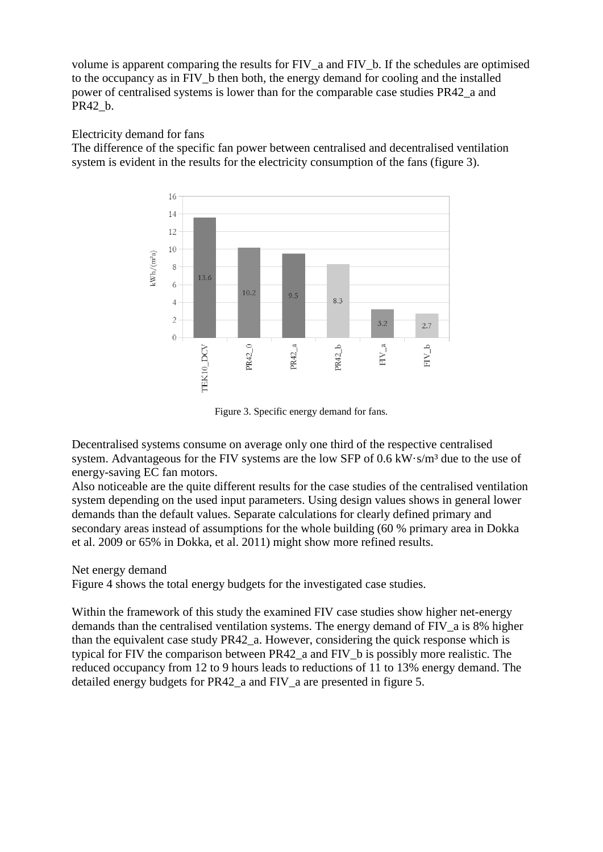volume is apparent comparing the results for FIV a and FIV b. If the schedules are optimised to the occupancy as in FIV\_b then both, the energy demand for cooling and the installed power of centralised systems is lower than for the comparable case studies PR42\_a and PR42\_b.

# Electricity demand for fans

The difference of the specific fan power between centralised and decentralised ventilation system is evident in the results for the electricity consumption of the fans (figure 3).



Figure 3. Specific energy demand for fans.

Decentralised systems consume on average only one third of the respective centralised system. Advantageous for the FIV systems are the low SFP of 0.6 kW·s/m<sup>3</sup> due to the use of energy-saving EC fan motors.

Also noticeable are the quite different results for the case studies of the centralised ventilation system depending on the used input parameters. Using design values shows in general lower demands than the default values. Separate calculations for clearly defined primary and secondary areas instead of assumptions for the whole building (60 % primary area in Dokka et al. 2009 or 65% in Dokka, et al. 2011) might show more refined results.

# Net energy demand

Figure 4 shows the total energy budgets for the investigated case studies.

Within the framework of this study the examined FIV case studies show higher net-energy demands than the centralised ventilation systems. The energy demand of FIV a is 8% higher than the equivalent case study PR42\_a. However, considering the quick response which is typical for FIV the comparison between PR42\_a and FIV\_b is possibly more realistic. The reduced occupancy from 12 to 9 hours leads to reductions of 11 to 13% energy demand. The detailed energy budgets for PR42 a and FIV a are presented in figure 5.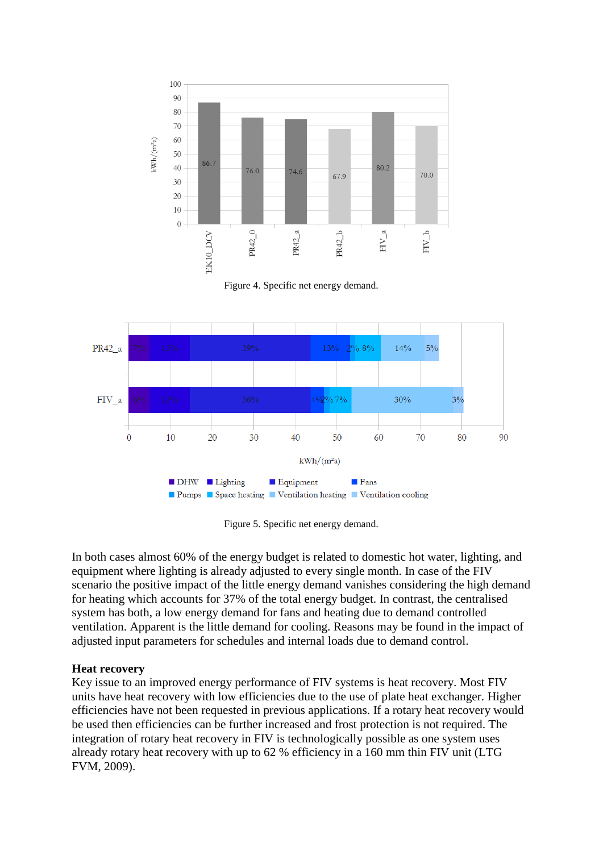

Figure 4. Specific net energy demand.



Figure 5. Specific net energy demand.

In both cases almost 60% of the energy budget is related to domestic hot water, lighting, and equipment where lighting is already adjusted to every single month. In case of the FIV scenario the positive impact of the little energy demand vanishes considering the high demand for heating which accounts for 37% of the total energy budget. In contrast, the centralised system has both, a low energy demand for fans and heating due to demand controlled ventilation. Apparent is the little demand for cooling. Reasons may be found in the impact of adjusted input parameters for schedules and internal loads due to demand control.

#### **Heat recovery**

Key issue to an improved energy performance of FIV systems is heat recovery. Most FIV units have heat recovery with low efficiencies due to the use of plate heat exchanger. Higher efficiencies have not been requested in previous applications. If a rotary heat recovery would be used then efficiencies can be further increased and frost protection is not required. The integration of rotary heat recovery in FIV is technologically possible as one system uses already rotary heat recovery with up to 62 % efficiency in a 160 mm thin FIV unit (LTG FVM, 2009).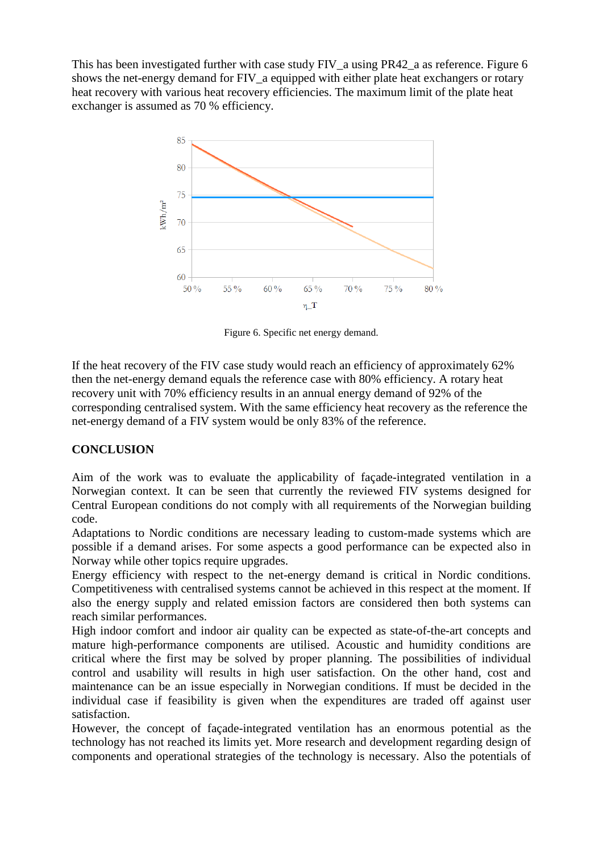This has been investigated further with case study FIV a using PR42 a as reference. Figure 6 shows the net-energy demand for FIV\_a equipped with either plate heat exchangers or rotary heat recovery with various heat recovery efficiencies. The maximum limit of the plate heat exchanger is assumed as 70 % efficiency.



Figure 6. Specific net energy demand.

If the heat recovery of the FIV case study would reach an efficiency of approximately 62% then the net-energy demand equals the reference case with 80% efficiency. A rotary heat recovery unit with 70% efficiency results in an annual energy demand of 92% of the corresponding centralised system. With the same efficiency heat recovery as the reference the net-energy demand of a FIV system would be only 83% of the reference.

# **CONCLUSION**

Aim of the work was to evaluate the applicability of façade-integrated ventilation in a Norwegian context. It can be seen that currently the reviewed FIV systems designed for Central European conditions do not comply with all requirements of the Norwegian building code.

Adaptations to Nordic conditions are necessary leading to custom-made systems which are possible if a demand arises. For some aspects a good performance can be expected also in Norway while other topics require upgrades.

Energy efficiency with respect to the net-energy demand is critical in Nordic conditions. Competitiveness with centralised systems cannot be achieved in this respect at the moment. If also the energy supply and related emission factors are considered then both systems can reach similar performances.

High indoor comfort and indoor air quality can be expected as state-of-the-art concepts and mature high-performance components are utilised. Acoustic and humidity conditions are critical where the first may be solved by proper planning. The possibilities of individual control and usability will results in high user satisfaction. On the other hand, cost and maintenance can be an issue especially in Norwegian conditions. If must be decided in the individual case if feasibility is given when the expenditures are traded off against user satisfaction.

However, the concept of façade-integrated ventilation has an enormous potential as the technology has not reached its limits yet. More research and development regarding design of components and operational strategies of the technology is necessary. Also the potentials of